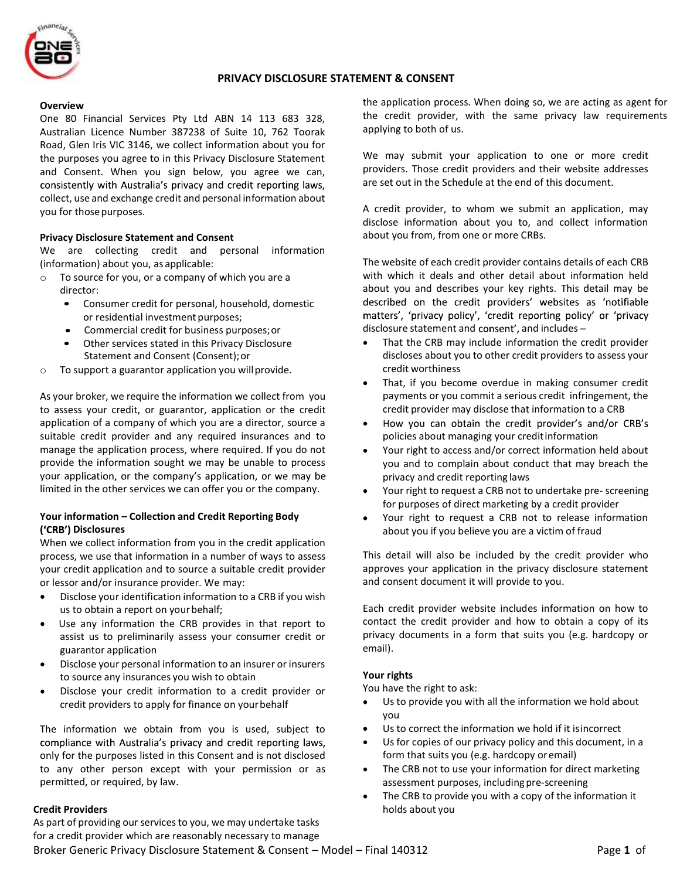

# PRIVACY DISCLOSURE STATEMENT & CONSENT

#### **Overview**

One 80 Financial Services Pty Ltd ABN 14 113 683 328, Australian Licence Number 387238 of Suite 10, 762 Toorak Road, Glen Iris VIC 3146, we collect information about you for the purposes you agree to in this Privacy Disclosure Statement and Consent. When you sign below, you agree we can, consistently with Australia's privacy and credit reporting laws, collect, use and exchange credit and personal information about you for those purposes.

#### Privacy Disclosure Statement and Consent

We are collecting credit and personal information (information) about you, as applicable:

- o To source for you, or a company of which you are a director:
	- Consumer credit for personal, household, domestic or residential investment purposes;
	- Commercial credit for business purposes; or
	- Other services stated in this Privacy Disclosure Statement and Consent (Consent); or
- o To support a guarantor application you will provide.

As your broker, we require the information we collect from you to assess your credit, or guarantor, application or the credit application of a company of which you are a director, source a suitable credit provider and any required insurances and to manage the application process, where required. If you do not provide the information sought we may be unable to process your application, or the company's application, or we may be limited in the other services we can offer you or the company.

## Your information - Collection and Credit Reporting Body ('CRB') Disclosures

When we collect information from you in the credit application process, we use that information in a number of ways to assess your credit application and to source a suitable credit provider or lessor and/or insurance provider. We may:

- Disclose your identification information to a CRB if you wish us to obtain a report on your behalf;
- Use any information the CRB provides in that report to assist us to preliminarily assess your consumer credit or guarantor application
- Disclose your personal information to an insurer or insurers to source any insurances you wish to obtain
- Disclose your credit information to a credit provider or credit providers to apply for finance on your behalf

The information we obtain from you is used, subject to compliance with Australia's privacy and credit reporting laws, only for the purposes listed in this Consent and is not disclosed to any other person except with your permission or as permitted, or required, by law.

### Credit Providers

Broker Generic Privacy Disclosure Statement & Consent – Model – Final 140312 Page 1 of As part of providing our services to you, we may undertake tasks for a credit provider which are reasonably necessary to manage

the application process. When doing so, we are acting as agent for the credit provider, with the same privacy law requirements applying to both of us.

We may submit your application to one or more credit providers. Those credit providers and their website addresses are set out in the Schedule at the end of this document.

A credit provider, to whom we submit an application, may disclose information about you to, and collect information about you from, from one or more CRBs.

The website of each credit provider contains details of each CRB with which it deals and other detail about information held about you and describes your key rights. This detail may be described on the credit providers' websites as 'notifiable matters', 'privacy policy', 'credit reporting policy' or 'privacy disclosure statement and consent', and includes -

- That the CRB may include information the credit provider discloses about you to other credit providers to assess your credit worthiness
- That, if you become overdue in making consumer credit payments or you commit a serious credit infringement, the credit provider may disclose that information to a CRB
- How you can obtain the credit provider's and/or CRB's policies about managing your credit information
- Your right to access and/or correct information held about you and to complain about conduct that may breach the privacy and credit reporting laws
- Your right to request a CRB not to undertake pre- screening for purposes of direct marketing by a credit provider
- Your right to request a CRB not to release information about you if you believe you are a victim of fraud

This detail will also be included by the credit provider who approves your application in the privacy disclosure statement and consent document it will provide to you.

Each credit provider website includes information on how to contact the credit provider and how to obtain a copy of its privacy documents in a form that suits you (e.g. hardcopy or email).

### Your rights

You have the right to ask:

- Us to provide you with all the information we hold about you
- Us to correct the information we hold if it is incorrect
- Us for copies of our privacy policy and this document, in a form that suits you (e.g. hardcopy or email)
- The CRB not to use your information for direct marketing assessment purposes, including pre-screening
- The CRB to provide you with a copy of the information it holds about you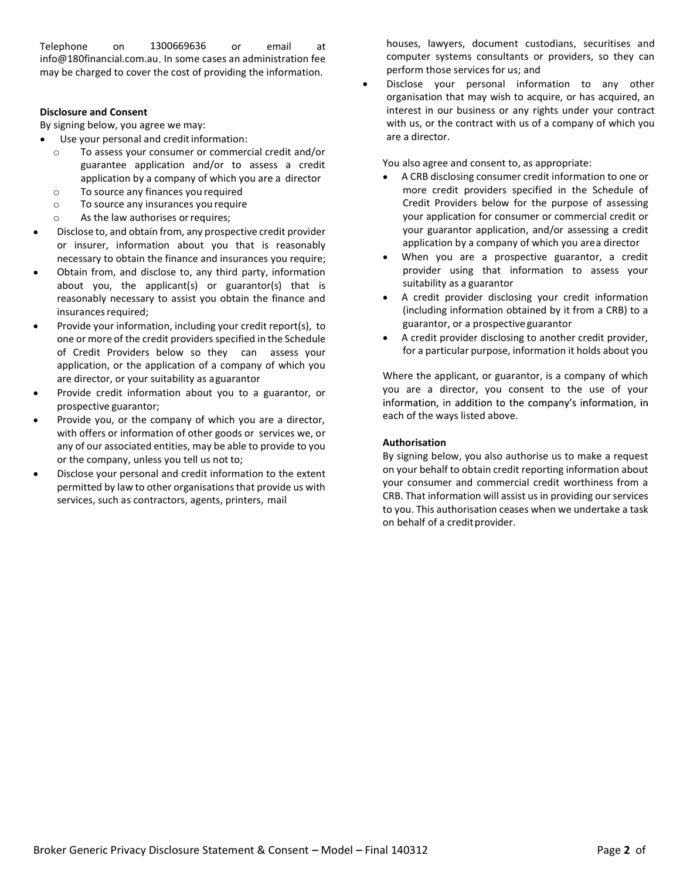Telephone on 1300669636 or email at info@180financial.com.au. In some cases an administration fee may be charged to cover the cost of providing the information.

## Disclosure and Consent

By signing below, you agree we may:

- Use your personal and credit information:
- o To assess your consumer or commercial credit and/or guarantee application and/or to assess a credit application by a company of which you are a director
- o To source any finances you required
- o To source any insurances you require
- o As the law authorises or requires;
- Disclose to, and obtain from, any prospective credit provider or insurer, information about you that is reasonably necessary to obtain the finance and insurances you require;
- Obtain from, and disclose to, any third party, information about you, the applicant(s) or guarantor(s) that is reasonably necessary to assist you obtain the finance and insurances required;
- Provide your information, including your credit report(s), to one or more of the credit providers specified in the Schedule of Credit Providers below so they can assess your application, or the application of a company of which you are director, or your suitability as a guarantor
- Provide credit information about you to a guarantor, or prospective guarantor;
- Provide you, or the company of which you are a director, with offers or information of other goods or services we, or any of our associated entities, may be able to provide to you or the company, unless you tell us not to;
- Disclose your personal and credit information to the extent permitted by law to other organisations that provide us with services, such as contractors, agents, printers, mail

houses, lawyers, document custodians, securitises and computer systems consultants or providers, so they can perform those services for us; and

Disclose your personal information to any other organisation that may wish to acquire, or has acquired, an interest in our business or any rights under your contract with us, or the contract with us of a company of which you are a director.

You also agree and consent to, as appropriate:

- A CRB disclosing consumer credit information to one or more credit providers specified in the Schedule of Credit Providers below for the purpose of assessing your application for consumer or commercial credit or your guarantor application, and/or assessing a credit application by a company of which you area director
- When you are a prospective guarantor, a credit provider using that information to assess your suitability as a guarantor
- A credit provider disclosing your credit information (including information obtained by it from a CRB) to a guarantor, or a prospective guarantor
- A credit provider disclosing to another credit provider, for a particular purpose, information it holds about you

Where the applicant, or guarantor, is a company of which you are a director, you consent to the use of your information, in addition to the company's information, in each of the ways listed above.

# Authorisation

By signing below, you also authorise us to make a request on your behalf to obtain credit reporting information about your consumer and commercial credit worthiness from a CRB. That information will assist us in providing our services to you. This authorisation ceases when we undertake a task on behalf of a credit provider.